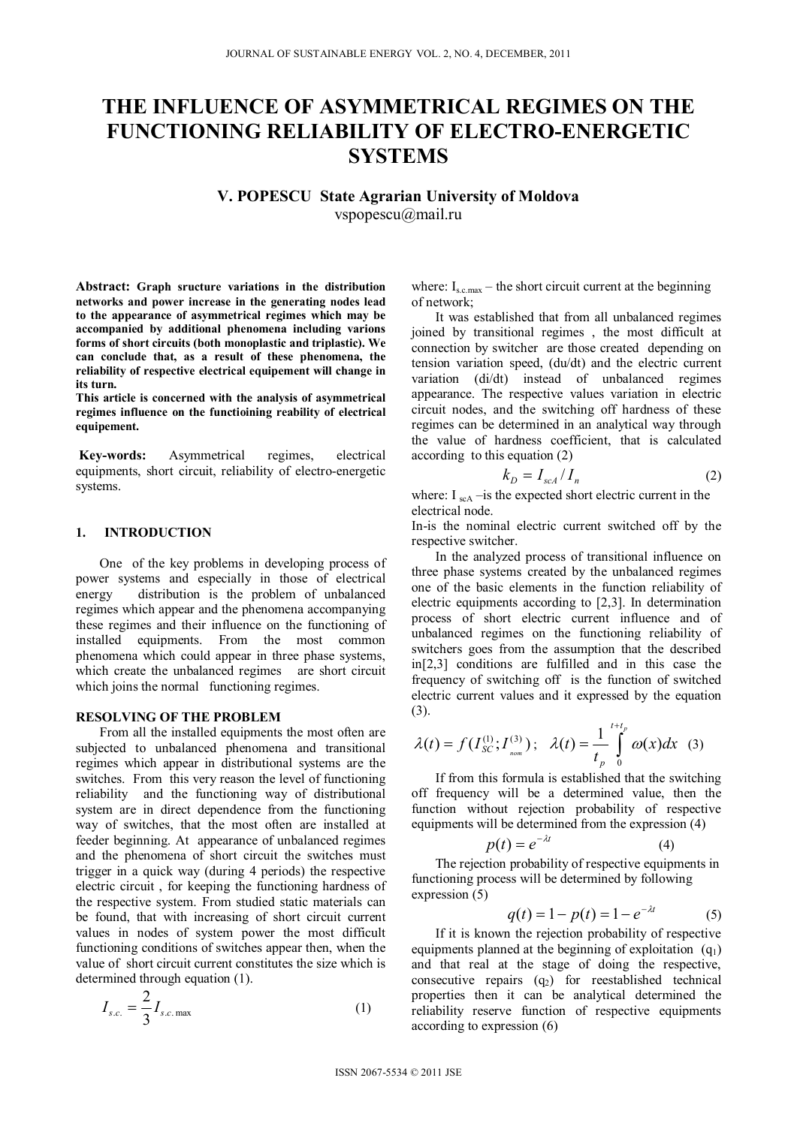# **THE INFLUENCE OF ASYMMETRICAL REGIMES ON THE FUNCTIONING RELIABILITY OF ELECTRO-ENERGETIC SYSTEMS**

**V. POPESCU State Agrarian University of Moldova**  vspopescu@mail.ru

**Abstract: Graph sructure variations in the distribution networks and power increase in the generating nodes lead to the appearance of asymmetrical regimes which may be accompanied by additional phenomena including varions forms of short circuits (both monoplastic and triplastic). We can conclude that, as a result of these phenomena, the reliability of respective electrical equipement will change in its turn.** 

**This article is concerned with the analysis of asymmetrical regimes influence on the functioining reability of electrical equipement.** 

**Key-words:** Asymmetrical regimes, electrical equipments, short circuit, reliability of electro-energetic systems.

#### **1. INTRODUCTION**

One of the key problems in developing process of power systems and especially in those of electrical energy distribution is the problem of unbalanced regimes which appear and the phenomena accompanying these regimes and their influence on the functioning of installed equipments. From the most common phenomena which could appear in three phase systems, which create the unbalanced regimes are short circuit which joins the normal functioning regimes.

#### **RESOLVING OF THE PROBLEM**

From all the installed equipments the most often are subjected to unbalanced phenomena and transitional regimes which appear in distributional systems are the switches. From this very reason the level of functioning reliability and the functioning way of distributional system are in direct dependence from the functioning way of switches, that the most often are installed at feeder beginning. At appearance of unbalanced regimes and the phenomena of short circuit the switches must trigger in a quick way (during 4 periods) the respective electric circuit , for keeping the functioning hardness of the respective system. From studied static materials can be found, that with increasing of short circuit current values in nodes of system power the most difficult functioning conditions of switches appear then, when the value of short circuit current constitutes the size which is determined through equation (1).

$$
I_{s.c.} = \frac{2}{3} I_{s.c. \max} \tag{1}
$$

where:  $I_{s.c.max}$  – the short circuit current at the beginning of network;

It was established that from all unbalanced regimes joined by transitional regimes , the most difficult at connection by switcher are those created depending on tension variation speed, (du/dt) and the electric current variation (di/dt) instead of unbalanced regimes appearance. The respective values variation in electric circuit nodes, and the switching off hardness of these regimes can be determined in an analytical way through the value of hardness coefficient, that is calculated according to this equation (2)

$$
k_D = I_{\text{scA}} / I_n \tag{2}
$$

where:  $I_{\rm scA}$  –is the expected short electric current in the electrical node.

In-is the nominal electric current switched off by the respective switcher.

In the analyzed process of transitional influence on three phase systems created by the unbalanced regimes one of the basic elements in the function reliability of electric equipments according to [2,3]. In determination process of short electric current influence and of unbalanced regimes on the functioning reliability of switchers goes from the assumption that the described in[2,3] conditions are fulfilled and in this case the frequency of switching off is the function of switched electric current values and it expressed by the equation (3).

$$
\lambda(t) = f(I_{SC}^{(1)}; I_{\text{nom}}^{(3)}); \quad \lambda(t) = \frac{1}{t_p} \int_{0}^{t+t_p} \omega(x) dx \quad (3)
$$

If from this formula is established that the switching off frequency will be a determined value, then the function without rejection probability of respective equipments will be determined from the expression (4)

$$
p(t) = e^{-\lambda t} \tag{4}
$$

The rejection probability of respective equipments in functioning process will be determined by following expression (5)

$$
q(t) = 1 - p(t) = 1 - e^{-\lambda t}
$$
 (5)

If it is known the rejection probability of respective equipments planned at the beginning of exploitation  $(q_1)$ and that real at the stage of doing the respective, consecutive repairs  $(q_2)$  for reestablished technical properties then it can be analytical determined the reliability reserve function of respective equipments according to expression (6)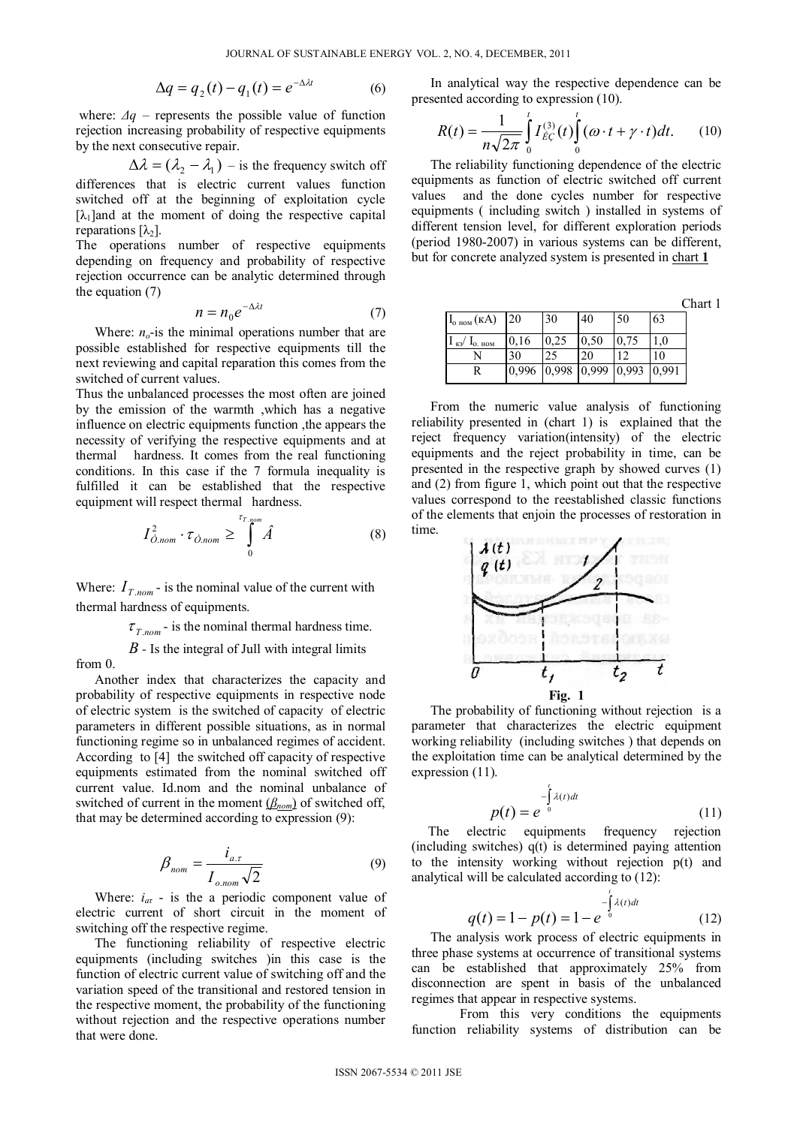$$
\Delta q = q_2(t) - q_1(t) = e^{-\Delta \lambda t} \tag{6}
$$

where:  $\Delta q$  – represents the possible value of function rejection increasing probability of respective equipments by the next consecutive repair.

$$
\Delta \lambda = (\lambda_2 - \lambda_1) - \text{is the frequency switch off}
$$
\ndifferences that is electric current values function  
\nswitched off at the beginning of exploitation cycle  
\n $[\lambda_1]$  and at the moment of doing the respective capital  
\nreparations  $[\lambda_2]$ .

The operations number of respective equipments depending on frequency and probability of respective rejection occurrence can be analytic determined through the equation (7)

$$
n = n_0 e^{-\Delta \lambda t} \tag{7}
$$

Where:  $n<sub>o</sub>$ -is the minimal operations number that are possible established for respective equipments till the next reviewing and capital reparation this comes from the switched of current values.

Thus the unbalanced processes the most often are joined by the emission of the warmth ,which has a negative influence on electric equipments function ,the appears the necessity of verifying the respective equipments and at thermal hardness. It comes from the real functioning conditions. In this case if the 7 formula inequality is fulfilled it can be established that the respective equipment will respect thermal hardness.

$$
I_{\hat{O},nom}^2 \cdot \tau_{\hat{O},nom} \ge \int_0^{\tau_{T,nom}} \hat{A}
$$
 (8)

Where:  $I_{T, nom}$  is the nominal value of the current with thermal hardness of equipments.

 $\tau_{T,nom}$  - is the nominal thermal hardness time.

*B* - Is the integral of Jull with integral limits from 0.

Another index that characterizes the capacity and probability of respective equipments in respective node of electric system is the switched of capacity of electric parameters in different possible situations, as in normal functioning regime so in unbalanced regimes of accident. According to [4] the switched off capacity of respective equipments estimated from the nominal switched off current value. Id.nom and the nominal unbalance of switched of current in the moment (*βnom*) of switched off, that may be determined according to expression (9):

$$
\beta_{nom} = \frac{i_{a.\tau}}{I_{o,nom}\sqrt{2}}
$$
\n(9)

Where:  $i_{at}$  - is the a periodic component value of electric current of short circuit in the moment of switching off the respective regime.

The functioning reliability of respective electric equipments (including switches )in this case is the function of electric current value of switching off and the variation speed of the transitional and restored tension in the respective moment, the probability of the functioning without rejection and the respective operations number that were done.

In analytical way the respective dependence can be presented according to expression (10).

$$
R(t) = \frac{1}{n\sqrt{2\pi}} \int_{0}^{t} I_{EG}^{(3)}(t) \int_{0}^{t} (\omega \cdot t + \gamma \cdot t) dt.
$$
 (10)

The reliability functioning dependence of the electric equipments as function of electric switched off current values and the done cycles number for respective equipments ( including switch ) installed in systems of different tension level, for different exploration periods (period 1980-2007) in various systems can be different, but for concrete analyzed system is presented in chart **1**

Chart 1

| $I_{o\text{ hom}}(kA)$        | <sup>20</sup>                                               | 30   | 40   | 50   | 63  |
|-------------------------------|-------------------------------------------------------------|------|------|------|-----|
| $I_{\kappa 3}/I_{\rm o.~HOM}$ | 0,16                                                        | 0.25 | 0.50 | 0,75 | 1.0 |
|                               | 30                                                          |      | 20   |      | 10  |
| R                             | $0,996$ $\big 0,998$ $\big 0,999$ $\big 0,993$ $\big 0,991$ |      |      |      |     |

From the numeric value analysis of functioning reliability presented in (chart 1) is explained that the reject frequency variation(intensity) of the electric equipments and the reject probability in time, can be presented in the respective graph by showed curves (1) and (2) from figure 1, which point out that the respective values correspond to the reestablished classic functions of the elements that enjoin the processes of restoration in time.



The probability of functioning without rejection is a parameter that characterizes the electric equipment working reliability (including switches ) that depends on the exploitation time can be analytical determined by the expression (11).

$$
p(t) = e^{-\int_{0}^{t} \lambda(t)dt}
$$
\n(11)

 The electric equipments frequency rejection (including switches) q(t) is determined paying attention to the intensity working without rejection p(t) and analytical will be calculated according to (12):

$$
q(t) = 1 - p(t) = 1 - e^{-\int_{0}^{t} \lambda(t)dt}
$$
 (12)

The analysis work process of electric equipments in three phase systems at occurrence of transitional systems can be established that approximately 25% from disconnection are spent in basis of the unbalanced regimes that appear in respective systems.

 From this very conditions the equipments function reliability systems of distribution can be